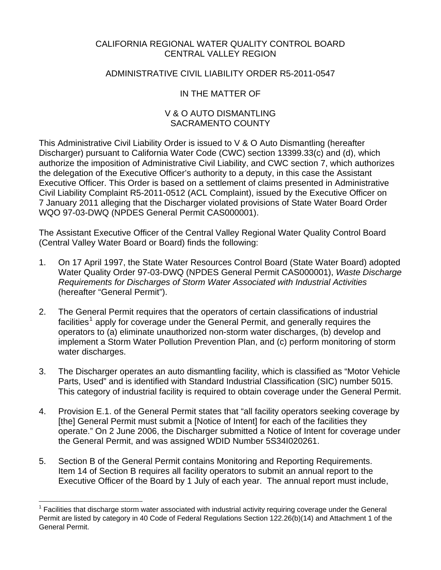### CALIFORNIA REGIONAL WATER QUALITY CONTROL BOARD CENTRAL VALLEY REGION

### ADMINISTRATIVE CIVIL LIABILITY ORDER R5-2011-0547

## IN THE MATTER OF

#### V & O AUTO DISMANTLING SACRAMENTO COUNTY

This Administrative Civil Liability Order is issued to V & O Auto Dismantling (hereafter Discharger) pursuant to California Water Code (CWC) section 13399.33(c) and (d), which authorize the imposition of Administrative Civil Liability, and CWC section 7, which authorizes the delegation of the Executive Officer's authority to a deputy, in this case the Assistant Executive Officer. This Order is based on a settlement of claims presented in Administrative Civil Liability Complaint R5-2011-0512 (ACL Complaint), issued by the Executive Officer on 7 January 2011 alleging that the Discharger violated provisions of State Water Board Order WQO 97-03-DWQ (NPDES General Permit CAS000001).

The Assistant Executive Officer of the Central Valley Regional Water Quality Control Board (Central Valley Water Board or Board) finds the following:

- 1. On 17 April 1997, the State Water Resources Control Board (State Water Board) adopted Water Quality Order 97-03-DWQ (NPDES General Permit CAS000001), *Waste Discharge Requirements for Discharges of Storm Water Associated with Industrial Activities*  (hereafter "General Permit").
- 2. The General Permit requires that the operators of certain classifications of industrial facilities<sup>[1](#page-0-0)</sup> apply for coverage under the General Permit, and generally requires the operators to (a) eliminate unauthorized non-storm water discharges, (b) develop and implement a Storm Water Pollution Prevention Plan, and (c) perform monitoring of storm water discharges.
- 3. The Discharger operates an auto dismantling facility, which is classified as "Motor Vehicle Parts, Used" and is identified with Standard Industrial Classification (SIC) number 5015. This category of industrial facility is required to obtain coverage under the General Permit.
- 4. Provision E.1. of the General Permit states that "all facility operators seeking coverage by [the] General Permit must submit a [Notice of Intent] for each of the facilities they operate." On 2 June 2006, the Discharger submitted a Notice of Intent for coverage under the General Permit, and was assigned WDID Number 5S34I020261.
- 5. Section B of the General Permit contains Monitoring and Reporting Requirements. Item 14 of Section B requires all facility operators to submit an annual report to the Executive Officer of the Board by 1 July of each year. The annual report must include,

 $\overline{a}$ 

<span id="page-0-0"></span><sup>1</sup> Facilities that discharge storm water associated with industrial activity requiring coverage under the General Permit are listed by category in 40 Code of Federal Regulations Section 122.26(b)(14) and Attachment 1 of the General Permit.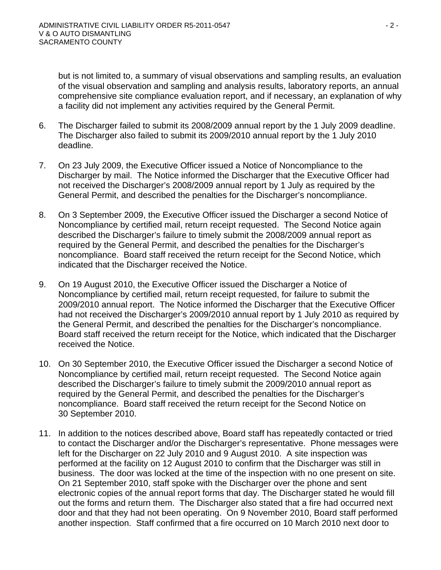but is not limited to, a summary of visual observations and sampling results, an evaluation of the visual observation and sampling and analysis results, laboratory reports, an annual comprehensive site compliance evaluation report, and if necessary, an explanation of why a facility did not implement any activities required by the General Permit.

- 6. The Discharger failed to submit its 2008/2009 annual report by the 1 July 2009 deadline. The Discharger also failed to submit its 2009/2010 annual report by the 1 July 2010 deadline.
- 7. On 23 July 2009, the Executive Officer issued a Notice of Noncompliance to the Discharger by mail. The Notice informed the Discharger that the Executive Officer had not received the Discharger's 2008/2009 annual report by 1 July as required by the General Permit, and described the penalties for the Discharger's noncompliance.
- 8. On 3 September 2009, the Executive Officer issued the Discharger a second Notice of Noncompliance by certified mail, return receipt requested. The Second Notice again described the Discharger's failure to timely submit the 2008/2009 annual report as required by the General Permit, and described the penalties for the Discharger's noncompliance. Board staff received the return receipt for the Second Notice, which indicated that the Discharger received the Notice.
- 9. On 19 August 2010, the Executive Officer issued the Discharger a Notice of Noncompliance by certified mail, return receipt requested, for failure to submit the 2009/2010 annual report. The Notice informed the Discharger that the Executive Officer had not received the Discharger's 2009/2010 annual report by 1 July 2010 as required by the General Permit, and described the penalties for the Discharger's noncompliance. Board staff received the return receipt for the Notice, which indicated that the Discharger received the Notice.
- 10. On 30 September 2010, the Executive Officer issued the Discharger a second Notice of Noncompliance by certified mail, return receipt requested. The Second Notice again described the Discharger's failure to timely submit the 2009/2010 annual report as required by the General Permit, and described the penalties for the Discharger's noncompliance. Board staff received the return receipt for the Second Notice on 30 September 2010.
- 11. In addition to the notices described above, Board staff has repeatedly contacted or tried to contact the Discharger and/or the Discharger's representative. Phone messages were left for the Discharger on 22 July 2010 and 9 August 2010. A site inspection was performed at the facility on 12 August 2010 to confirm that the Discharger was still in business. The door was locked at the time of the inspection with no one present on site. On 21 September 2010, staff spoke with the Discharger over the phone and sent electronic copies of the annual report forms that day. The Discharger stated he would fill out the forms and return them. The Discharger also stated that a fire had occurred next door and that they had not been operating. On 9 November 2010, Board staff performed another inspection. Staff confirmed that a fire occurred on 10 March 2010 next door to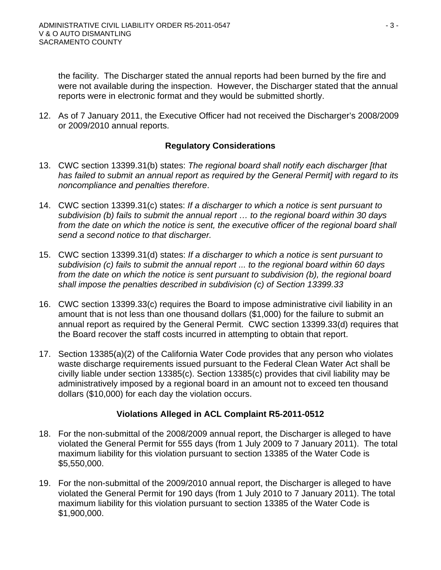the facility. The Discharger stated the annual reports had been burned by the fire and were not available during the inspection. However, the Discharger stated that the annual reports were in electronic format and they would be submitted shortly.

12. As of 7 January 2011, the Executive Officer had not received the Discharger's 2008/2009 or 2009/2010 annual reports.

## **Regulatory Considerations**

- 13. CWC section 13399.31(b) states: *The regional board shall notify each discharger [that has failed to submit an annual report as required by the General Permit] with regard to its noncompliance and penalties therefore*.
- 14. CWC section 13399.31(c) states: *If a discharger to which a notice is sent pursuant to subdivision (b) fails to submit the annual report … to the regional board within 30 days*  from the date on which the notice is sent, the executive officer of the regional board shall *send a second notice to that discharger.*
- 15. CWC section 13399.31(d) states: *If a discharger to which a notice is sent pursuant to subdivision (c) fails to submit the annual report ... to the regional board within 60 days from the date on which the notice is sent pursuant to subdivision (b), the regional board shall impose the penalties described in subdivision (c) of Section 13399.33*
- 16. CWC section 13399.33(c) requires the Board to impose administrative civil liability in an amount that is not less than one thousand dollars (\$1,000) for the failure to submit an annual report as required by the General Permit. CWC section 13399.33(d) requires that the Board recover the staff costs incurred in attempting to obtain that report.
- 17. Section 13385(a)(2) of the California Water Code provides that any person who violates waste discharge requirements issued pursuant to the Federal Clean Water Act shall be civilly liable under section 13385(c). Section 13385(c) provides that civil liability may be administratively imposed by a regional board in an amount not to exceed ten thousand dollars (\$10,000) for each day the violation occurs.

## **Violations Alleged in ACL Complaint R5-2011-0512**

- 18. For the non-submittal of the 2008/2009 annual report, the Discharger is alleged to have violated the General Permit for 555 days (from 1 July 2009 to 7 January 2011). The total maximum liability for this violation pursuant to section 13385 of the Water Code is \$5,550,000.
- 19. For the non-submittal of the 2009/2010 annual report, the Discharger is alleged to have violated the General Permit for 190 days (from 1 July 2010 to 7 January 2011). The total maximum liability for this violation pursuant to section 13385 of the Water Code is \$1,900,000.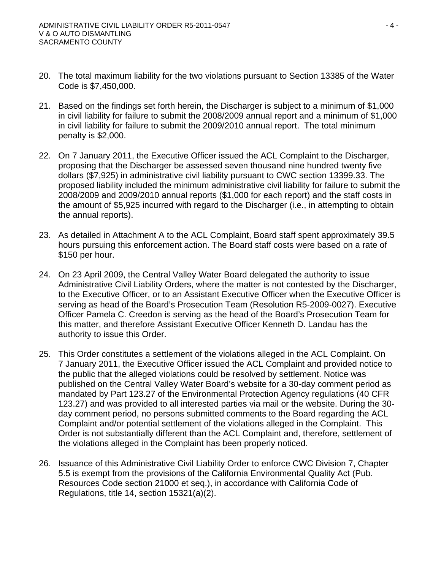- 20. The total maximum liability for the two violations pursuant to Section 13385 of the Water Code is \$7,450,000.
- 21. Based on the findings set forth herein, the Discharger is subject to a minimum of \$1,000 in civil liability for failure to submit the 2008/2009 annual report and a minimum of \$1,000 in civil liability for failure to submit the 2009/2010 annual report. The total minimum penalty is \$2,000.
- 22. On 7 January 2011, the Executive Officer issued the ACL Complaint to the Discharger, proposing that the Discharger be assessed seven thousand nine hundred twenty five dollars (\$7,925) in administrative civil liability pursuant to CWC section 13399.33. The proposed liability included the minimum administrative civil liability for failure to submit the 2008/2009 and 2009/2010 annual reports (\$1,000 for each report) and the staff costs in the amount of \$5,925 incurred with regard to the Discharger (i.e., in attempting to obtain the annual reports).
- 23. As detailed in Attachment A to the ACL Complaint, Board staff spent approximately 39.5 hours pursuing this enforcement action. The Board staff costs were based on a rate of \$150 per hour.
- 24. On 23 April 2009, the Central Valley Water Board delegated the authority to issue Administrative Civil Liability Orders, where the matter is not contested by the Discharger, to the Executive Officer, or to an Assistant Executive Officer when the Executive Officer is serving as head of the Board's Prosecution Team (Resolution R5-2009-0027). Executive Officer Pamela C. Creedon is serving as the head of the Board's Prosecution Team for this matter, and therefore Assistant Executive Officer Kenneth D. Landau has the authority to issue this Order.
- 25. This Order constitutes a settlement of the violations alleged in the ACL Complaint. On 7 January 2011, the Executive Officer issued the ACL Complaint and provided notice to the public that the alleged violations could be resolved by settlement. Notice was published on the Central Valley Water Board's website for a 30-day comment period as mandated by Part 123.27 of the Environmental Protection Agency regulations (40 CFR 123.27) and was provided to all interested parties via mail or the website. During the 30 day comment period, no persons submitted comments to the Board regarding the ACL Complaint and/or potential settlement of the violations alleged in the Complaint. This Order is not substantially different than the ACL Complaint and, therefore, settlement of the violations alleged in the Complaint has been properly noticed.
- 26. Issuance of this Administrative Civil Liability Order to enforce CWC Division 7, Chapter 5.5 is exempt from the provisions of the California Environmental Quality Act (Pub. Resources Code section 21000 et seq.), in accordance with California Code of Regulations, title 14, section 15321(a)(2).